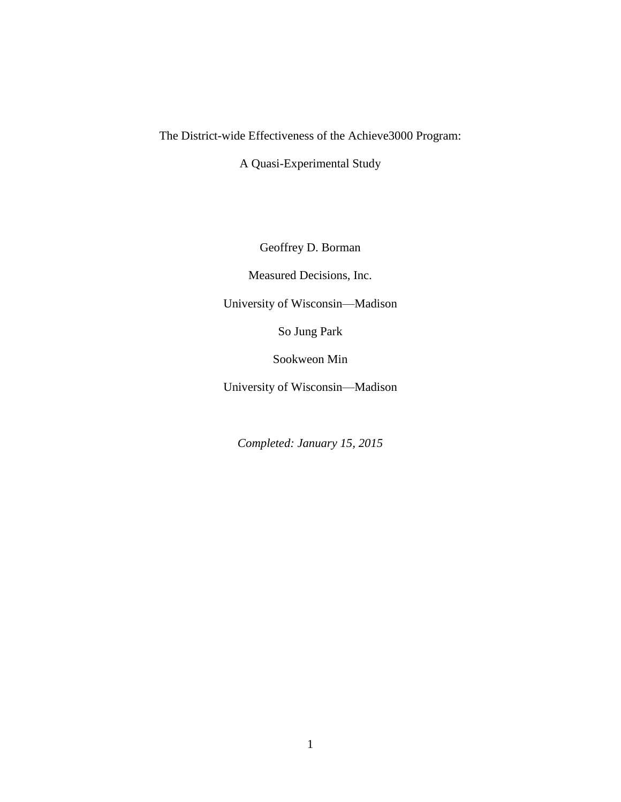## The District-wide Effectiveness of the Achieve3000 Program:

A Quasi-Experimental Study

Geoffrey D. Borman

Measured Decisions, Inc.

University of Wisconsin—Madison

So Jung Park

Sookweon Min

University of Wisconsin—Madison

*Completed: January 15, 2015*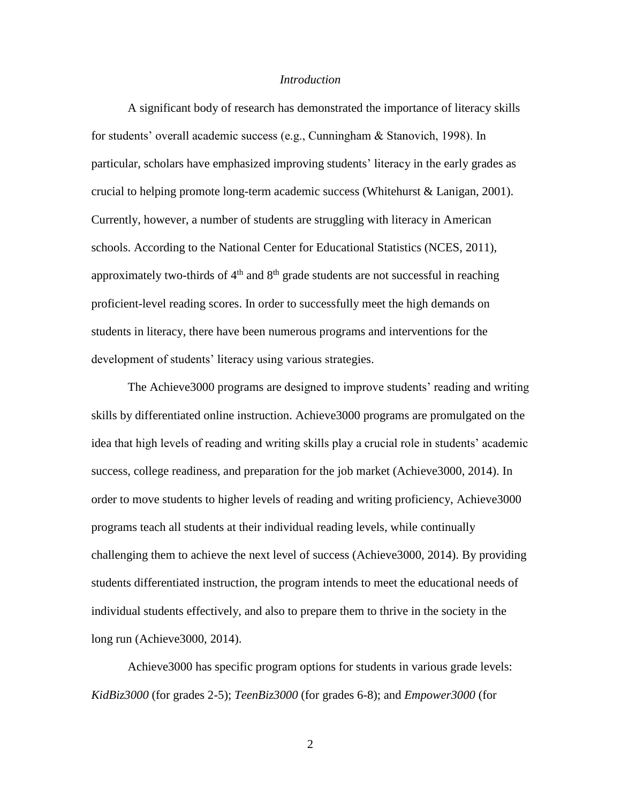#### *Introduction*

A significant body of research has demonstrated the importance of literacy skills for students' overall academic success (e.g., Cunningham & Stanovich, 1998). In particular, scholars have emphasized improving students' literacy in the early grades as crucial to helping promote long-term academic success (Whitehurst & Lanigan, 2001). Currently, however, a number of students are struggling with literacy in American schools. According to the National Center for Educational Statistics (NCES, 2011), approximately two-thirds of  $4<sup>th</sup>$  and  $8<sup>th</sup>$  grade students are not successful in reaching proficient-level reading scores. In order to successfully meet the high demands on students in literacy, there have been numerous programs and interventions for the development of students' literacy using various strategies.

The Achieve3000 programs are designed to improve students' reading and writing skills by differentiated online instruction. Achieve3000 programs are promulgated on the idea that high levels of reading and writing skills play a crucial role in students' academic success, college readiness, and preparation for the job market (Achieve3000, 2014). In order to move students to higher levels of reading and writing proficiency, Achieve3000 programs teach all students at their individual reading levels, while continually challenging them to achieve the next level of success (Achieve3000, 2014). By providing students differentiated instruction, the program intends to meet the educational needs of individual students effectively, and also to prepare them to thrive in the society in the long run (Achieve3000, 2014).

Achieve3000 has specific program options for students in various grade levels: *KidBiz3000* (for grades 2-5); *TeenBiz3000* (for grades 6-8); and *Empower3000* (for

2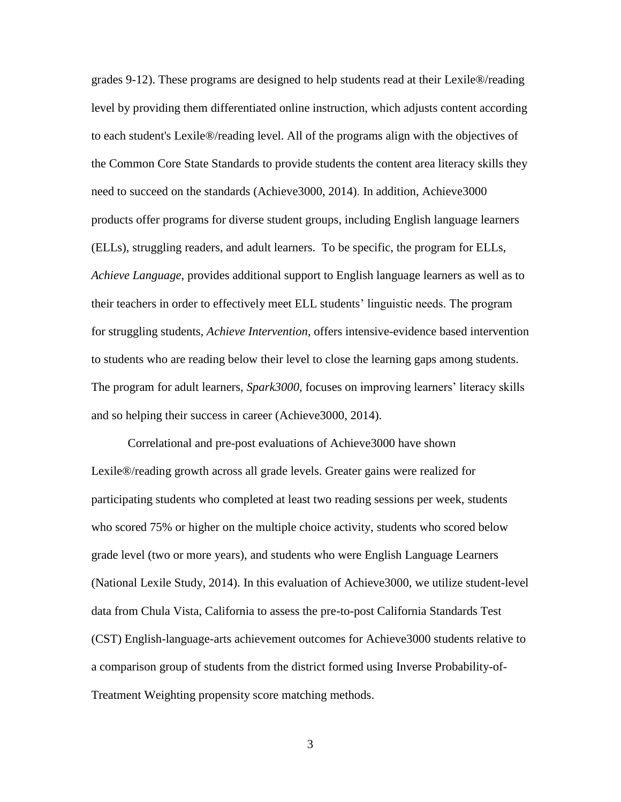grades 9-12). These programs are designed to help students read at their Lexile®/reading level by providing them differentiated online instruction, which adjusts content according to each student's Lexile®/reading level. All of the programs align with the objectives of the Common Core State Standards to provide students the content area literacy skills they need to succeed on the standards (Achieve3000, 2014). In addition, Achieve3000 products offer programs for diverse student groups, including English language learners (ELLs), struggling readers, and adult learners. To be specific, the program for ELLs, *Achieve Language*, provides additional support to English language learners as well as to their teachers in order to effectively meet ELL students' linguistic needs. The program for struggling students, *Achieve Intervention*, offers intensive-evidence based intervention to students who are reading below their level to close the learning gaps among students. The program for adult learners, *Spark3000*, focuses on improving learners' literacy skills and so helping their success in career (Achieve3000, 2014).

Correlational and pre-post evaluations of Achieve3000 have shown Lexile®/reading growth across all grade levels. Greater gains were realized for participating students who completed at least two reading sessions per week, students who scored 75% or higher on the multiple choice activity, students who scored below grade level (two or more years), and students who were English Language Learners (National Lexile Study, 2014). In this evaluation of Achieve3000, we utilize student-level data from Chula Vista, California to assess the pre-to-post California Standards Test (CST) English-language-arts achievement outcomes for Achieve3000 students relative to a comparison group of students from the district formed using Inverse Probability-of-Treatment Weighting propensity score matching methods.

3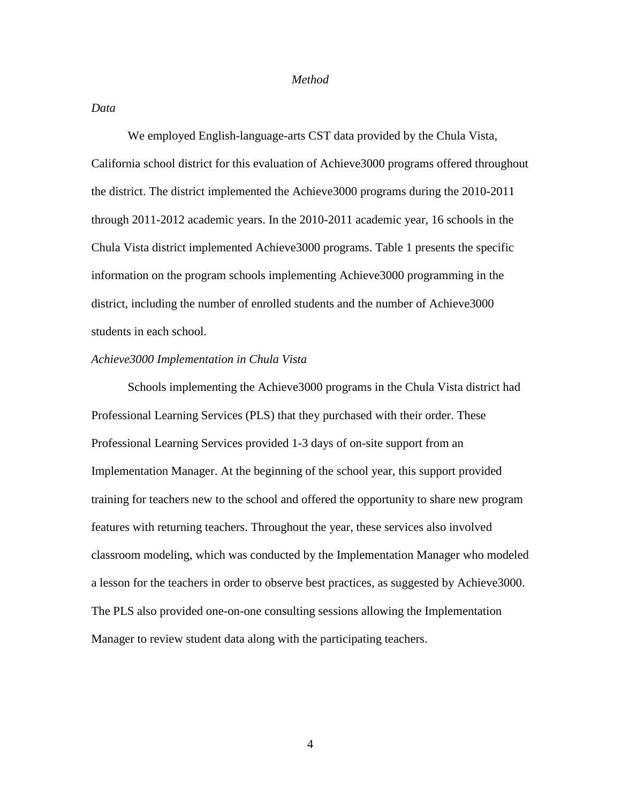#### *Method*

*Data* 

We employed English-language-arts CST data provided by the Chula Vista, California school district for this evaluation of Achieve3000 programs offered throughout the district. The district implemented the Achieve3000 programs during the 2010-2011 through 2011-2012 academic years. In the 2010-2011 academic year, 16 schools in the Chula Vista district implemented Achieve3000 programs. Table 1 presents the specific information on the program schools implementing Achieve3000 programming in the district, including the number of enrolled students and the number of Achieve3000 students in each school.

#### *Achieve3000 Implementation in Chula Vista*

Schools implementing the Achieve3000 programs in the Chula Vista district had Professional Learning Services (PLS) that they purchased with their order. These Professional Learning Services provided 1-3 days of on-site support from an Implementation Manager. At the beginning of the school year, this support provided training for teachers new to the school and offered the opportunity to share new program features with returning teachers. Throughout the year, these services also involved classroom modeling, which was conducted by the Implementation Manager who modeled a lesson for the teachers in order to observe best practices, as suggested by Achieve3000. The PLS also provided one-on-one consulting sessions allowing the Implementation Manager to review student data along with the participating teachers.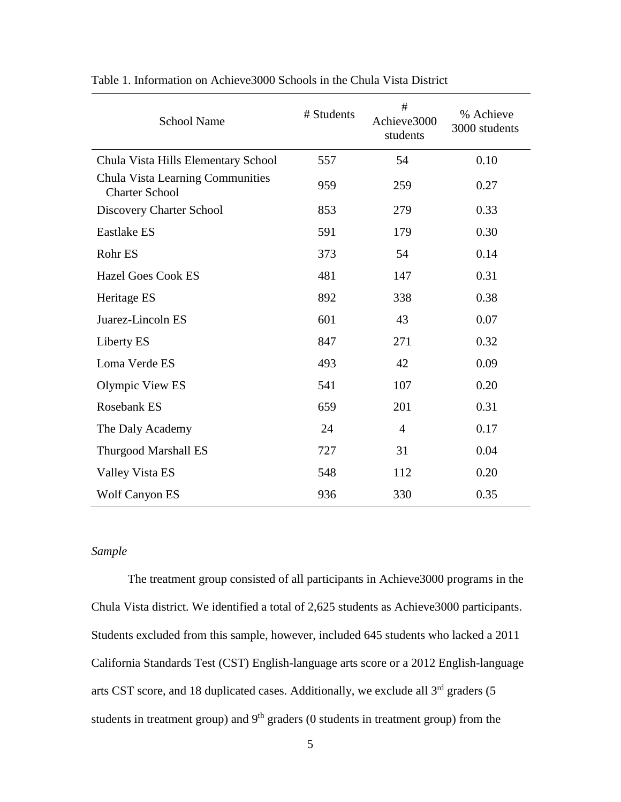| <b>School Name</b>                                        | # Students | #<br>Achieve3000<br>students | % Achieve<br>3000 students |
|-----------------------------------------------------------|------------|------------------------------|----------------------------|
| Chula Vista Hills Elementary School                       | 557        | 54                           | 0.10                       |
| Chula Vista Learning Communities<br><b>Charter School</b> | 959        | 259                          | 0.27                       |
| Discovery Charter School                                  | 853        | 279                          | 0.33                       |
| <b>Eastlake ES</b>                                        | 591        | 179                          | 0.30                       |
| Rohr ES                                                   | 373        | 54                           | 0.14                       |
| <b>Hazel Goes Cook ES</b>                                 | 481        | 147                          | 0.31                       |
| Heritage ES                                               | 892        | 338                          | 0.38                       |
| Juarez-Lincoln ES                                         | 601        | 43                           | 0.07                       |
| Liberty ES                                                | 847        | 271                          | 0.32                       |
| Loma Verde ES                                             | 493        | 42                           | 0.09                       |
| Olympic View ES                                           | 541        | 107                          | 0.20                       |
| Rosebank ES                                               | 659        | 201                          | 0.31                       |
| The Daly Academy                                          | 24         | $\overline{4}$               | 0.17                       |
| <b>Thurgood Marshall ES</b>                               | 727        | 31                           | 0.04                       |
| Valley Vista ES                                           | 548        | 112                          | 0.20                       |
| <b>Wolf Canyon ES</b>                                     | 936        | 330                          | 0.35                       |

Table 1. Information on Achieve3000 Schools in the Chula Vista District

## *Sample*

The treatment group consisted of all participants in Achieve3000 programs in the Chula Vista district. We identified a total of 2,625 students as Achieve3000 participants. Students excluded from this sample, however, included 645 students who lacked a 2011 California Standards Test (CST) English-language arts score or a 2012 English-language arts CST score, and 18 duplicated cases. Additionally, we exclude all  $3<sup>rd</sup>$  graders (5 students in treatment group) and  $9<sup>th</sup>$  graders (0 students in treatment group) from the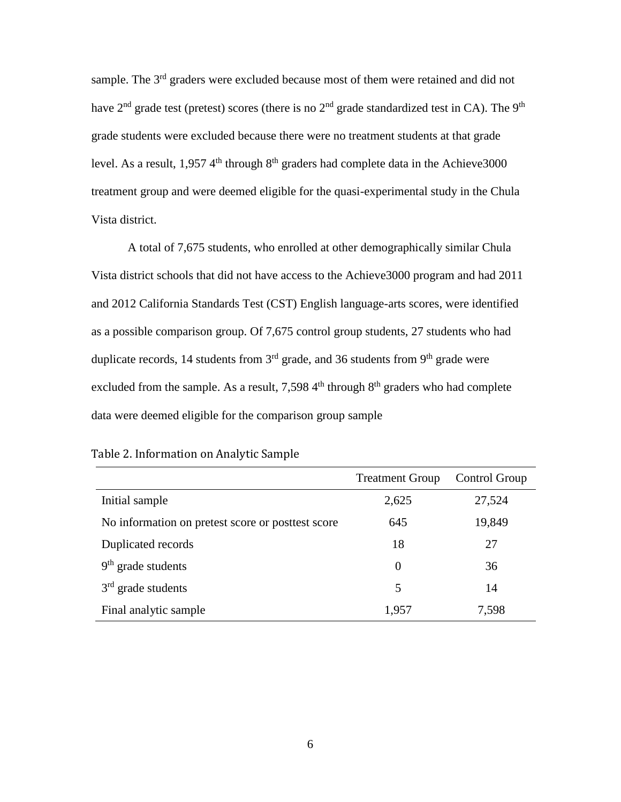sample. The 3<sup>rd</sup> graders were excluded because most of them were retained and did not have  $2<sup>nd</sup>$  grade test (pretest) scores (there is no  $2<sup>nd</sup>$  grade standardized test in CA). The 9<sup>th</sup> grade students were excluded because there were no treatment students at that grade level. As a result, 1,957  $4<sup>th</sup>$  through  $8<sup>th</sup>$  graders had complete data in the Achieve3000 treatment group and were deemed eligible for the quasi-experimental study in the Chula Vista district.

A total of 7,675 students, who enrolled at other demographically similar Chula Vista district schools that did not have access to the Achieve3000 program and had 2011 and 2012 California Standards Test (CST) English language-arts scores, were identified as a possible comparison group. Of 7,675 control group students, 27 students who had duplicate records, 14 students from  $3<sup>rd</sup>$  grade, and 36 students from  $9<sup>th</sup>$  grade were excluded from the sample. As a result, 7,598  $4<sup>th</sup>$  through  $8<sup>th</sup>$  graders who had complete data were deemed eligible for the comparison group sample

|                                                   | <b>Treatment Group</b> | Control Group |
|---------------------------------------------------|------------------------|---------------|
| Initial sample                                    | 2,625                  | 27,524        |
| No information on pretest score or posttest score | 645                    | 19,849        |
| Duplicated records                                | 18                     | 27            |
| $9th$ grade students                              | 0                      | 36            |
| $3rd$ grade students                              | 5                      | 14            |
| Final analytic sample                             | 1,957                  | 7,598         |

Table 2. Information on Analytic Sample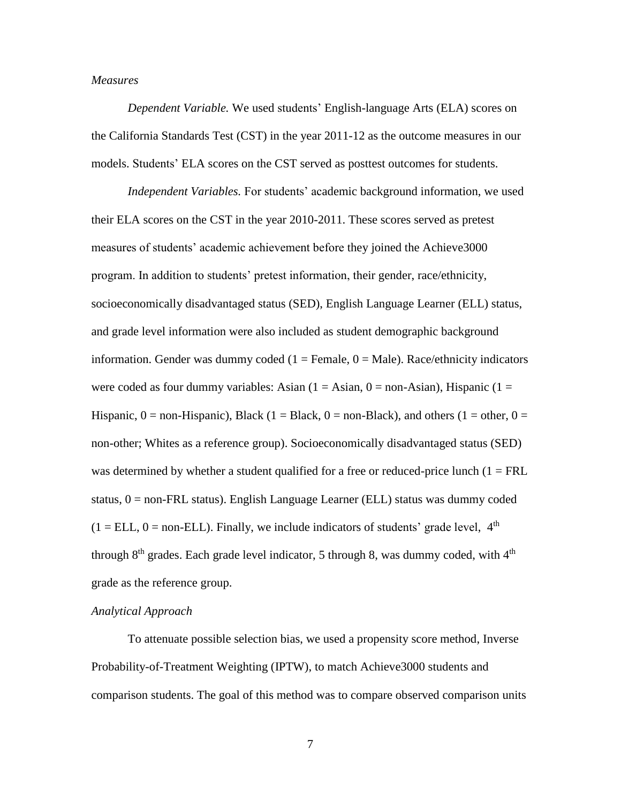### *Measures*

*Dependent Variable.* We used students' English-language Arts (ELA) scores on the California Standards Test (CST) in the year 2011-12 as the outcome measures in our models. Students' ELA scores on the CST served as posttest outcomes for students.

*Independent Variables.* For students' academic background information, we used their ELA scores on the CST in the year 2010-2011. These scores served as pretest measures of students' academic achievement before they joined the Achieve3000 program. In addition to students' pretest information, their gender, race/ethnicity, socioeconomically disadvantaged status (SED), English Language Learner (ELL) status, and grade level information were also included as student demographic background information. Gender was dummy coded  $(1 =$  Female,  $0 =$  Male). Race/ethnicity indicators were coded as four dummy variables: Asian  $(1 = Asian, 0 = non-Asian)$ , Hispanic  $(1 =$ Hispanic,  $0 =$  non-Hispanic), Black (1 = Black, 0 = non-Black), and others (1 = other, 0 = non-other; Whites as a reference group). Socioeconomically disadvantaged status (SED) was determined by whether a student qualified for a free or reduced-price lunch  $(1 = FRL)$ status,  $0 =$  non-FRL status). English Language Learner (ELL) status was dummy coded  $(1 = ELL, 0 = non-ELL)$ . Finally, we include indicators of students' grade level,  $4<sup>th</sup>$ through  $8<sup>th</sup>$  grades. Each grade level indicator, 5 through 8, was dummy coded, with  $4<sup>th</sup>$ grade as the reference group.

### *Analytical Approach*

To attenuate possible selection bias, we used a propensity score method, Inverse Probability-of-Treatment Weighting (IPTW), to match Achieve3000 students and comparison students. The goal of this method was to compare observed comparison units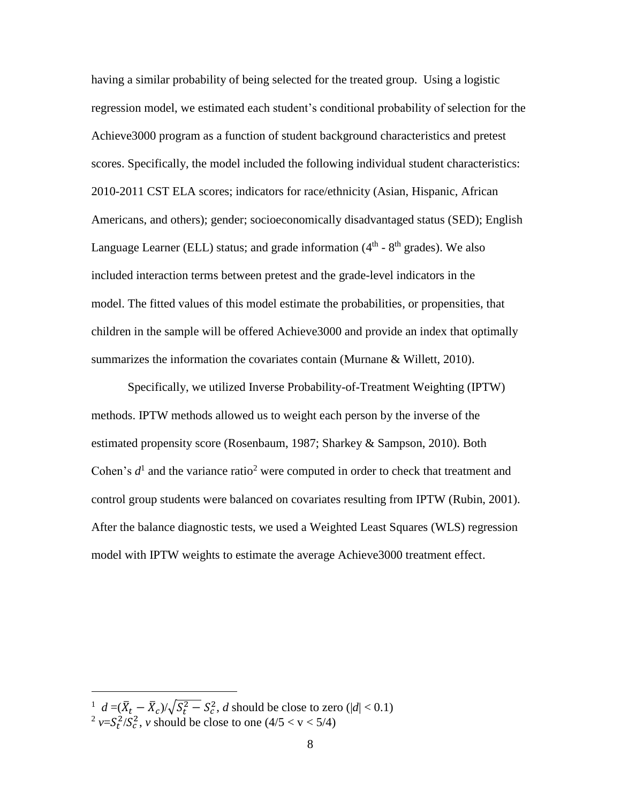having a similar probability of being selected for the treated group. Using a logistic regression model, we estimated each student's conditional probability of selection for the Achieve3000 program as a function of student background characteristics and pretest scores. Specifically, the model included the following individual student characteristics: 2010-2011 CST ELA scores; indicators for race/ethnicity (Asian, Hispanic, African Americans, and others); gender; socioeconomically disadvantaged status (SED); English Language Learner (ELL) status; and grade information  $(4<sup>th</sup> - 8<sup>th</sup>$  grades). We also included interaction terms between pretest and the grade-level indicators in the model. The fitted values of this model estimate the probabilities, or propensities, that children in the sample will be offered Achieve3000 and provide an index that optimally summarizes the information the covariates contain (Murnane & Willett, 2010).

Specifically, we utilized Inverse Probability-of-Treatment Weighting (IPTW) methods. IPTW methods allowed us to weight each person by the inverse of the estimated propensity score (Rosenbaum, 1987; Sharkey & Sampson, 2010). Both Cohen's  $d<sup>1</sup>$  and the variance ratio<sup>2</sup> were computed in order to check that treatment and control group students were balanced on covariates resulting from IPTW (Rubin, 2001). After the balance diagnostic tests, we used a Weighted Least Squares (WLS) regression model with IPTW weights to estimate the average Achieve3000 treatment effect.

 $\overline{\phantom{a}}$ 

<sup>&</sup>lt;sup>1</sup>  $d = (\bar{X}_t - \bar{X}_c)/\sqrt{S_t^2 - S_c^2}$ , *d* should be close to zero (|*d*| < 0.1)

<sup>&</sup>lt;sup>2</sup>  $v = S_t^2 / S_c^2$ , *v* should be close to one (4/5 < v < 5/4)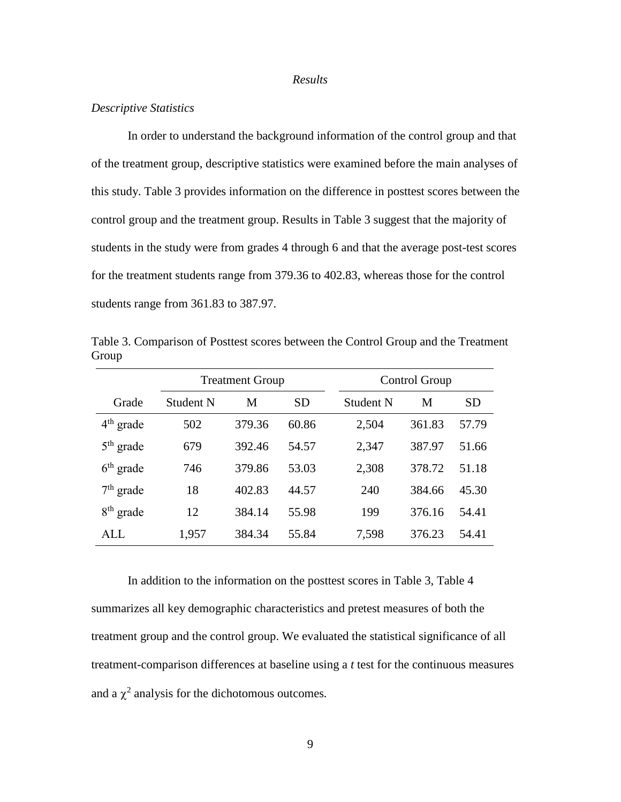#### *Results*

### *Descriptive Statistics*

In order to understand the background information of the control group and that of the treatment group, descriptive statistics were examined before the main analyses of this study. Table 3 provides information on the difference in posttest scores between the control group and the treatment group. Results in Table 3 suggest that the majority of students in the study were from grades 4 through 6 and that the average post-test scores for the treatment students range from 379.36 to 402.83, whereas those for the control students range from 361.83 to 387.97.

Table 3. Comparison of Posttest scores between the Control Group and the Treatment Group

|             | <b>Treatment Group</b> |        |       | Control Group |        |       |
|-------------|------------------------|--------|-------|---------------|--------|-------|
| Grade       | Student N              | M      | SD    | Student N     | M      | SD    |
| $4th$ grade | 502                    | 379.36 | 60.86 | 2,504         | 361.83 | 57.79 |
| $5th$ grade | 679                    | 392.46 | 54.57 | 2,347         | 387.97 | 51.66 |
| $6th$ grade | 746                    | 379.86 | 53.03 | 2,308         | 378.72 | 51.18 |
| $7th$ grade | 18                     | 402.83 | 44.57 | 240           | 384.66 | 45.30 |
| $8th$ grade | 12                     | 384.14 | 55.98 | 199           | 376.16 | 54.41 |
| ALL.        | 1,957                  | 384.34 | 55.84 | 7,598         | 376.23 | 54.41 |

In addition to the information on the posttest scores in Table 3, Table 4 summarizes all key demographic characteristics and pretest measures of both the treatment group and the control group. We evaluated the statistical significance of all treatment-comparison differences at baseline using a *t* test for the continuous measures and a  $\chi^2$  analysis for the dichotomous outcomes.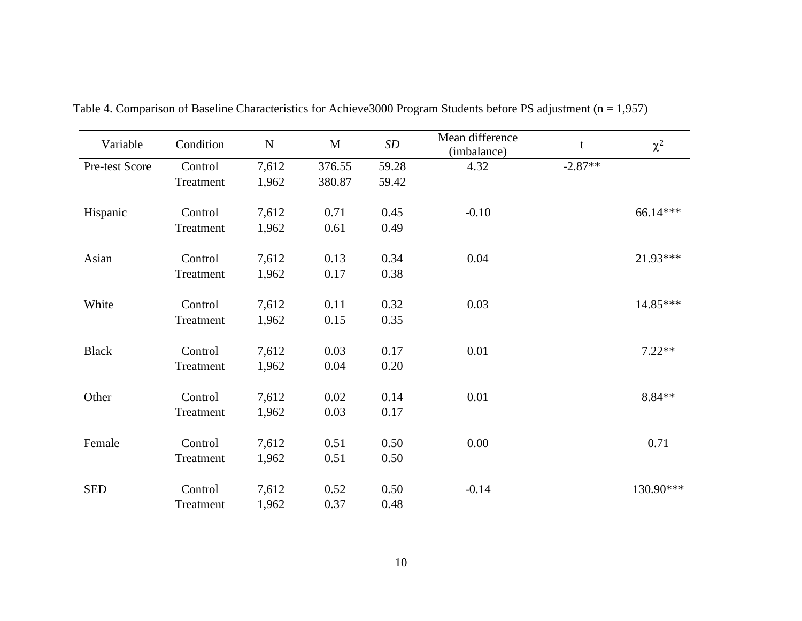| Variable       | Condition | ${\bf N}$ | $\mathbf M$ | SD    | Mean difference<br>(imbalance) | t         | $\chi^2$  |
|----------------|-----------|-----------|-------------|-------|--------------------------------|-----------|-----------|
| Pre-test Score | Control   | 7,612     | 376.55      | 59.28 | 4.32                           | $-2.87**$ |           |
|                | Treatment | 1,962     | 380.87      | 59.42 |                                |           |           |
| Hispanic       | Control   | 7,612     | 0.71        | 0.45  | $-0.10$                        |           | 66.14***  |
|                | Treatment | 1,962     | 0.61        | 0.49  |                                |           |           |
| Asian          | Control   | 7,612     | 0.13        | 0.34  | 0.04                           |           | 21.93***  |
|                | Treatment | 1,962     | 0.17        | 0.38  |                                |           |           |
| White          | Control   | 7,612     | 0.11        | 0.32  | 0.03                           |           | 14.85***  |
|                | Treatment | 1,962     | 0.15        | 0.35  |                                |           |           |
| <b>Black</b>   | Control   | 7,612     | 0.03        | 0.17  | 0.01                           |           | $7.22**$  |
|                | Treatment | 1,962     | 0.04        | 0.20  |                                |           |           |
| Other          | Control   | 7,612     | 0.02        | 0.14  | 0.01                           |           | 8.84**    |
|                | Treatment | 1,962     | 0.03        | 0.17  |                                |           |           |
| Female         | Control   | 7,612     | 0.51        | 0.50  | 0.00                           |           | 0.71      |
|                | Treatment | 1,962     | 0.51        | 0.50  |                                |           |           |
| <b>SED</b>     | Control   | 7,612     | 0.52        | 0.50  | $-0.14$                        |           | 130.90*** |
|                | Treatment | 1,962     | 0.37        | 0.48  |                                |           |           |
|                |           |           |             |       |                                |           |           |

Table 4. Comparison of Baseline Characteristics for Achieve3000 Program Students before PS adjustment (n = 1,957)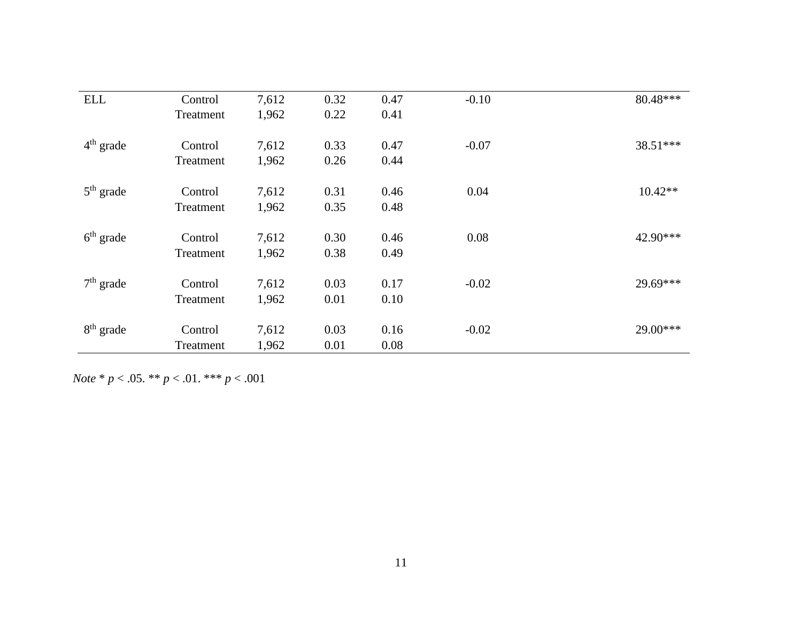| <b>ELL</b>  | Control   | 7,612 | 0.32 | 0.47 | $-0.10$ | 80.48***  |
|-------------|-----------|-------|------|------|---------|-----------|
|             | Treatment | 1,962 | 0.22 | 0.41 |         |           |
| $4th$ grade | Control   | 7,612 | 0.33 | 0.47 | $-0.07$ | 38.51***  |
|             | Treatment | 1,962 | 0.26 | 0.44 |         |           |
| $5th$ grade | Control   | 7,612 | 0.31 | 0.46 | 0.04    | $10.42**$ |
|             | Treatment | 1,962 | 0.35 | 0.48 |         |           |
| $6th$ grade | Control   | 7,612 | 0.30 | 0.46 | 0.08    | 42.90***  |
|             | Treatment | 1,962 | 0.38 | 0.49 |         |           |
| $7th$ grade | Control   | 7,612 | 0.03 | 0.17 | $-0.02$ | 29.69***  |
|             | Treatment | 1,962 | 0.01 | 0.10 |         |           |
| $8th$ grade | Control   | 7,612 | 0.03 | 0.16 | $-0.02$ | 29.00***  |
|             | Treatment | 1,962 | 0.01 | 0.08 |         |           |

*Note* \* *p* < .05. \*\* *p* < .01. \*\*\* *p* < .001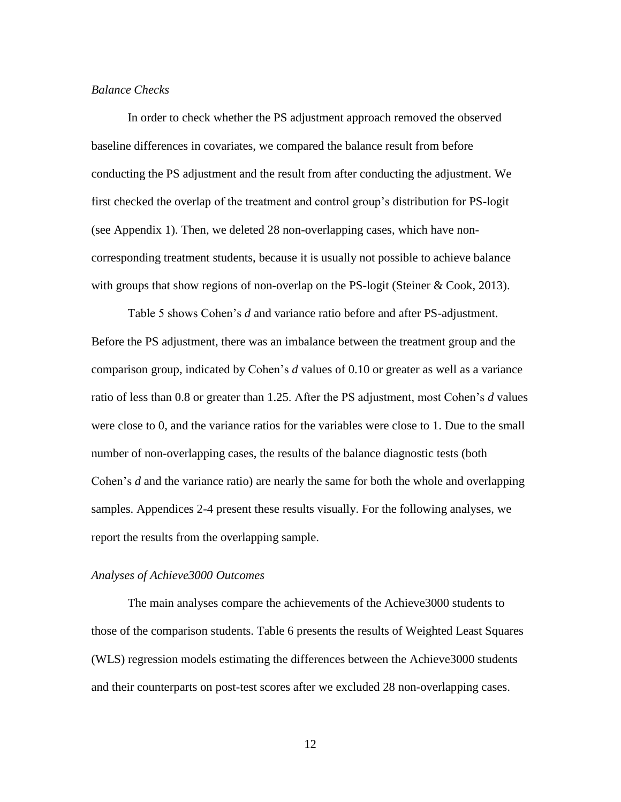## *Balance Checks*

In order to check whether the PS adjustment approach removed the observed baseline differences in covariates, we compared the balance result from before conducting the PS adjustment and the result from after conducting the adjustment. We first checked the overlap of the treatment and control group's distribution for PS-logit (see Appendix 1). Then, we deleted 28 non-overlapping cases, which have noncorresponding treatment students, because it is usually not possible to achieve balance with groups that show regions of non-overlap on the PS-logit (Steiner & Cook, 2013).

Table 5 shows Cohen's *d* and variance ratio before and after PS-adjustment. Before the PS adjustment, there was an imbalance between the treatment group and the comparison group, indicated by Cohen's *d* values of 0.10 or greater as well as a variance ratio of less than 0.8 or greater than 1.25. After the PS adjustment, most Cohen's *d* values were close to 0, and the variance ratios for the variables were close to 1. Due to the small number of non-overlapping cases, the results of the balance diagnostic tests (both Cohen's *d* and the variance ratio) are nearly the same for both the whole and overlapping samples. Appendices 2-4 present these results visually. For the following analyses, we report the results from the overlapping sample.

#### *Analyses of Achieve3000 Outcomes*

The main analyses compare the achievements of the Achieve3000 students to those of the comparison students. Table 6 presents the results of Weighted Least Squares (WLS) regression models estimating the differences between the Achieve3000 students and their counterparts on post-test scores after we excluded 28 non-overlapping cases.

12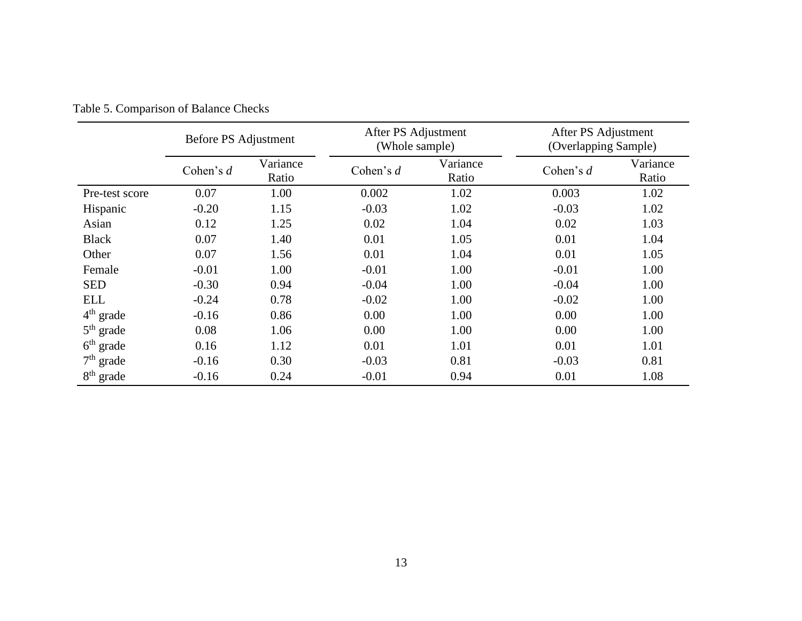|                | Before PS Adjustment |                   | After PS Adjustment<br>(Whole sample) |                   | After PS Adjustment<br>(Overlapping Sample) |                   |
|----------------|----------------------|-------------------|---------------------------------------|-------------------|---------------------------------------------|-------------------|
|                | Cohen's $d$          | Variance<br>Ratio | Cohen's $d$                           | Variance<br>Ratio | Cohen's $d$                                 | Variance<br>Ratio |
| Pre-test score | 0.07                 | 1.00              | 0.002                                 | 1.02              | 0.003                                       | 1.02              |
| Hispanic       | $-0.20$              | 1.15              | $-0.03$                               | 1.02              | $-0.03$                                     | 1.02              |
| Asian          | 0.12                 | 1.25              | 0.02                                  | 1.04              | 0.02                                        | 1.03              |
| <b>Black</b>   | 0.07                 | 1.40              | 0.01                                  | 1.05              | 0.01                                        | 1.04              |
| Other          | 0.07                 | 1.56              | 0.01                                  | 1.04              | 0.01                                        | 1.05              |
| Female         | $-0.01$              | 1.00              | $-0.01$                               | 1.00              | $-0.01$                                     | 1.00              |
| <b>SED</b>     | $-0.30$              | 0.94              | $-0.04$                               | 1.00              | $-0.04$                                     | 1.00              |
| <b>ELL</b>     | $-0.24$              | 0.78              | $-0.02$                               | 1.00              | $-0.02$                                     | 1.00              |
| $4th$ grade    | $-0.16$              | 0.86              | 0.00                                  | 1.00              | 0.00                                        | 1.00              |
| $5th$ grade    | 0.08                 | 1.06              | 0.00                                  | 1.00              | 0.00                                        | 1.00              |
| $6th$ grade    | 0.16                 | 1.12              | 0.01                                  | 1.01              | 0.01                                        | 1.01              |
| $7th$ grade    | $-0.16$              | 0.30              | $-0.03$                               | 0.81              | $-0.03$                                     | 0.81              |
| $8th$ grade    | $-0.16$              | 0.24              | $-0.01$                               | 0.94              | 0.01                                        | 1.08              |

Table 5. Comparison of Balance Checks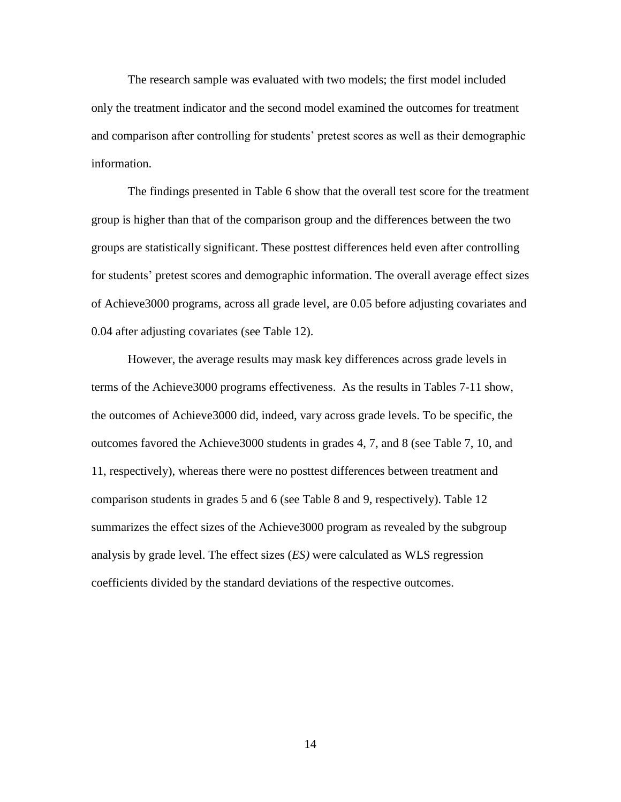The research sample was evaluated with two models; the first model included only the treatment indicator and the second model examined the outcomes for treatment and comparison after controlling for students' pretest scores as well as their demographic information.

The findings presented in Table 6 show that the overall test score for the treatment group is higher than that of the comparison group and the differences between the two groups are statistically significant. These posttest differences held even after controlling for students' pretest scores and demographic information. The overall average effect sizes of Achieve3000 programs, across all grade level, are 0.05 before adjusting covariates and 0.04 after adjusting covariates (see Table 12).

However, the average results may mask key differences across grade levels in terms of the Achieve3000 programs effectiveness. As the results in Tables 7-11 show, the outcomes of Achieve3000 did, indeed, vary across grade levels. To be specific, the outcomes favored the Achieve3000 students in grades 4, 7, and 8 (see Table 7, 10, and 11, respectively), whereas there were no posttest differences between treatment and comparison students in grades 5 and 6 (see Table 8 and 9, respectively). Table 12 summarizes the effect sizes of the Achieve3000 program as revealed by the subgroup analysis by grade level. The effect sizes (*ES)* were calculated as WLS regression coefficients divided by the standard deviations of the respective outcomes.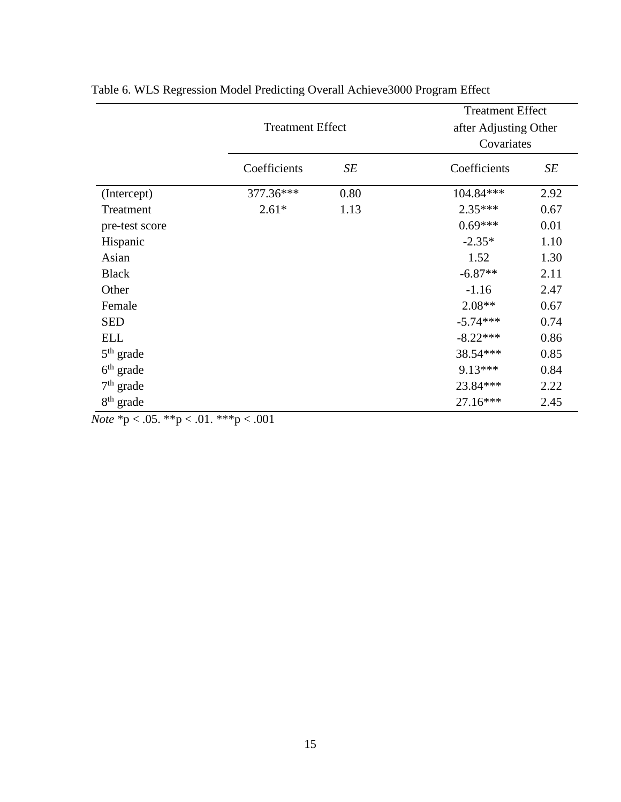|                       |                         |      | <b>Treatment Effect</b> |      |  |
|-----------------------|-------------------------|------|-------------------------|------|--|
|                       | <b>Treatment Effect</b> |      | after Adjusting Other   |      |  |
|                       |                         |      | Covariates              |      |  |
|                       | Coefficients            | SE   | Coefficients            | SE   |  |
| (Intercept)           | 377.36***               | 0.80 | 104.84***               | 2.92 |  |
| Treatment             | $2.61*$                 | 1.13 | $2.35***$               | 0.67 |  |
| pre-test score        |                         |      | $0.69***$               | 0.01 |  |
| Hispanic              |                         |      | $-2.35*$                | 1.10 |  |
| Asian                 |                         |      | 1.52                    | 1.30 |  |
| <b>Black</b>          |                         |      | $-6.87**$               | 2.11 |  |
| Other                 |                         |      | $-1.16$                 | 2.47 |  |
| Female                |                         |      | $2.08**$                | 0.67 |  |
| <b>SED</b>            |                         |      | $-5.74***$              | 0.74 |  |
| <b>ELL</b>            |                         |      | $-8.22***$              | 0.86 |  |
| $5th$ grade           |                         |      | 38.54***                | 0.85 |  |
| $6th$ grade           |                         |      | 9.13***                 | 0.84 |  |
| $7th$ grade           |                         |      | 23.84***                | 2.22 |  |
| 8 <sup>th</sup> grade |                         |      | 27.16***                | 2.45 |  |

| Table 6. WLS Regression Model Predicting Overall Achieve 3000 Program Effect |              |
|------------------------------------------------------------------------------|--------------|
|                                                                              | $\mathbf{m}$ |

*Note* \*p < .05. \*\*p < .01. \*\*\*p < .001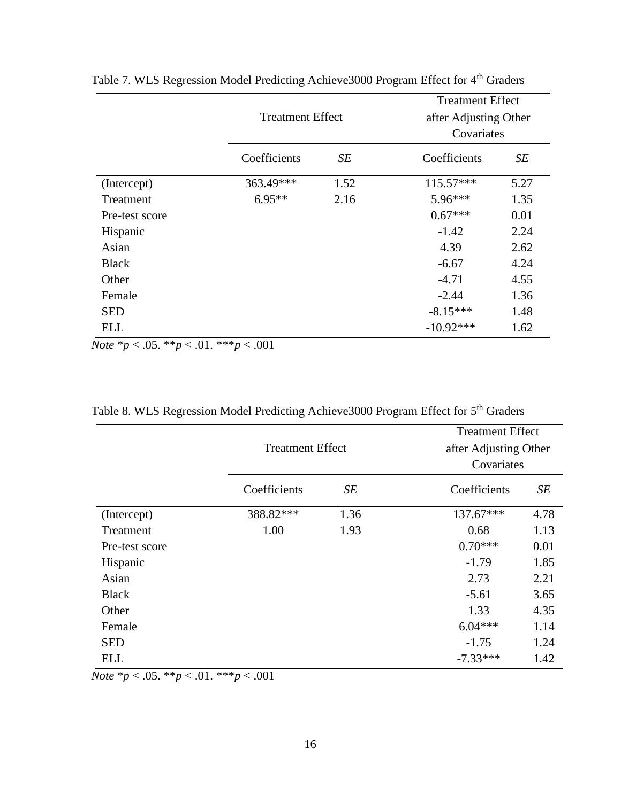|                |                         |      | <b>Treatment Effect</b> |      |  |
|----------------|-------------------------|------|-------------------------|------|--|
|                | <b>Treatment Effect</b> |      | after Adjusting Other   |      |  |
|                |                         |      | Covariates              |      |  |
|                | Coefficients            | SE   | Coefficients            | SE   |  |
| (Intercept)    | 363.49***               | 1.52 | 115.57***               | 5.27 |  |
| Treatment      | $6.95**$                | 2.16 | 5.96***                 | 1.35 |  |
| Pre-test score |                         |      | $0.67***$               | 0.01 |  |
| Hispanic       |                         |      | $-1.42$                 | 2.24 |  |
| Asian          |                         |      | 4.39                    | 2.62 |  |
| <b>Black</b>   |                         |      | $-6.67$                 | 4.24 |  |
| Other          |                         |      | $-4.71$                 | 4.55 |  |
| Female         |                         |      | $-2.44$                 | 1.36 |  |
| <b>SED</b>     |                         |      | $-8.15***$              | 1.48 |  |
| <b>ELL</b>     |                         |      | $-10.92***$             | 1.62 |  |

Table 7. WLS Regression Model Predicting Achieve3000 Program Effect for 4<sup>th</sup> Graders

*Note* \**p* < .05. \*\**p* < .01. \*\*\**p* < .001

|                |                         |      | <b>Treatment Effect</b> |  |  |  |
|----------------|-------------------------|------|-------------------------|--|--|--|
|                | <b>Treatment Effect</b> |      | after Adjusting Other   |  |  |  |
|                |                         |      | Covariates              |  |  |  |
|                | Coefficients            | SE   | Coefficients<br>SE      |  |  |  |
| (Intercept)    | 388.82***               | 1.36 | 137.67***<br>4.78       |  |  |  |
| Treatment      | 1.00                    | 1.93 | 1.13<br>0.68            |  |  |  |
| Pre-test score |                         |      | $0.70***$<br>0.01       |  |  |  |
| Hispanic       |                         |      | $-1.79$<br>1.85         |  |  |  |
| Asian          |                         |      | 2.21<br>2.73            |  |  |  |
| <b>Black</b>   |                         |      | $-5.61$<br>3.65         |  |  |  |
| Other          |                         |      | 4.35<br>1.33            |  |  |  |
| Female         |                         |      | $6.04***$<br>1.14       |  |  |  |
| <b>SED</b>     |                         |      | 1.24<br>$-1.75$         |  |  |  |
| <b>ELL</b>     |                         |      | $-7.33***$<br>1.42      |  |  |  |

Table 8. WLS Regression Model Predicting Achieve3000 Program Effect for 5<sup>th</sup> Graders

*Note* \**p* < .05. \*\**p* < .01. \*\*\**p* < .001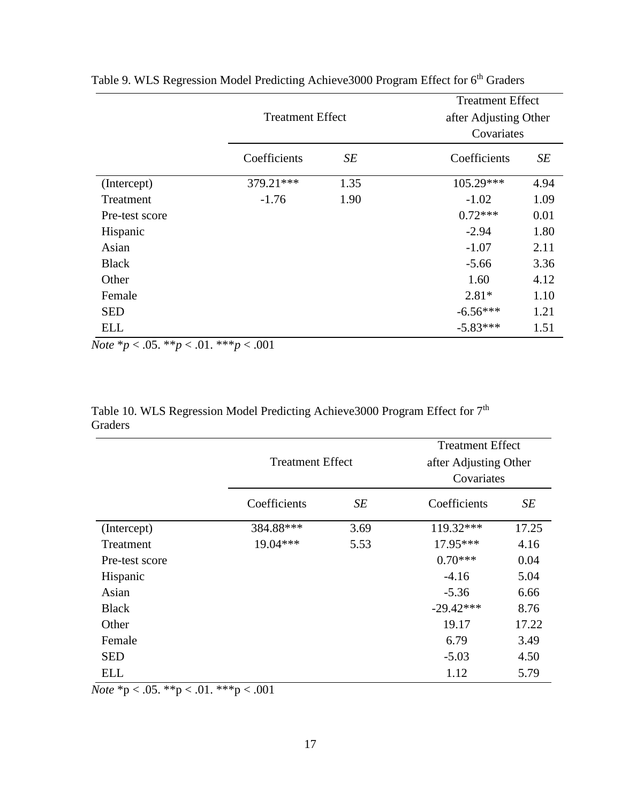|                |              |                         | <b>Treatment Effect</b> |                       |  |  |
|----------------|--------------|-------------------------|-------------------------|-----------------------|--|--|
|                |              | <b>Treatment Effect</b> |                         | after Adjusting Other |  |  |
|                |              |                         | Covariates              |                       |  |  |
|                | Coefficients | SE                      | Coefficients            | SE                    |  |  |
| (Intercept)    | 379.21***    | 1.35                    | 105.29***               | 4.94                  |  |  |
| Treatment      | $-1.76$      | 1.90                    | $-1.02$                 | 1.09                  |  |  |
| Pre-test score |              |                         | $0.72***$               | 0.01                  |  |  |
| Hispanic       |              |                         | $-2.94$                 | 1.80                  |  |  |
| Asian          |              |                         | $-1.07$                 | 2.11                  |  |  |
| <b>Black</b>   |              |                         | $-5.66$                 | 3.36                  |  |  |
| Other          |              |                         | 1.60                    | 4.12                  |  |  |
| Female         |              |                         | $2.81*$                 | 1.10                  |  |  |
| <b>SED</b>     |              |                         | $-6.56***$              | 1.21                  |  |  |
| <b>ELL</b>     |              |                         | $-5.83***$              | 1.51                  |  |  |

Table 9. WLS Regression Model Predicting Achieve3000 Program Effect for 6<sup>th</sup> Graders

*Note* \**p* < .05. \*\**p* < .01. \*\*\**p* < .001

Table 10. WLS Regression Model Predicting Achieve3000 Program Effect for 7<sup>th</sup> Graders

|                |                         |      | <b>Treatment Effect</b> |       |  |
|----------------|-------------------------|------|-------------------------|-------|--|
|                | <b>Treatment Effect</b> |      | after Adjusting Other   |       |  |
|                |                         |      | Covariates              |       |  |
|                | Coefficients            | SE   | Coefficients            | SE    |  |
| (Intercept)    | 384.88***               | 3.69 | 119.32***               | 17.25 |  |
| Treatment      | $19.04***$              | 5.53 | 17.95***                | 4.16  |  |
| Pre-test score |                         |      | $0.70***$               | 0.04  |  |
| Hispanic       |                         |      | $-4.16$                 | 5.04  |  |
| Asian          |                         |      | $-5.36$                 | 6.66  |  |
| <b>Black</b>   |                         |      | $-29.42***$             | 8.76  |  |
| Other          |                         |      | 19.17                   | 17.22 |  |
| Female         |                         |      | 6.79                    | 3.49  |  |
| <b>SED</b>     |                         |      | $-5.03$                 | 4.50  |  |
| ELL            |                         |      | 1.12                    | 5.79  |  |

*Note* \*p < .05. \*\*p < .01. \*\*\*p < .001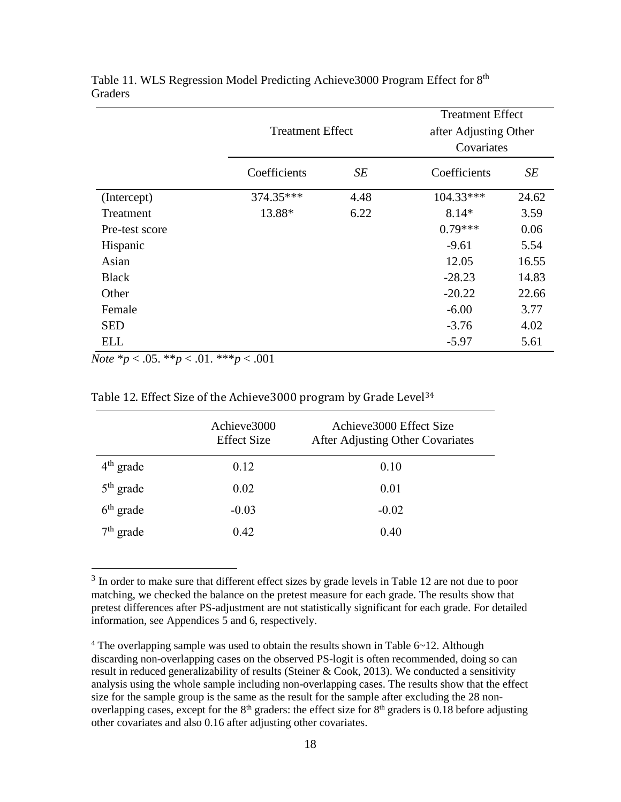|                |                         |      | <b>Treatment Effect</b> |       |
|----------------|-------------------------|------|-------------------------|-------|
|                | <b>Treatment Effect</b> |      | after Adjusting Other   |       |
|                |                         |      | Covariates              |       |
|                | Coefficients<br>SE      |      | Coefficients            | SE    |
| (Intercept)    | 374.35***               | 4.48 | $104.33***$             | 24.62 |
| Treatment      | 13.88*                  | 6.22 | $8.14*$                 | 3.59  |
| Pre-test score |                         |      | $0.79***$               | 0.06  |
| Hispanic       |                         |      | $-9.61$                 | 5.54  |
| Asian          |                         |      | 12.05                   | 16.55 |
| <b>Black</b>   |                         |      | $-28.23$                | 14.83 |
| Other          |                         |      | $-20.22$                | 22.66 |
| Female         |                         |      | $-6.00$                 | 3.77  |
| <b>SED</b>     |                         |      | $-3.76$                 | 4.02  |
| ELL            |                         |      | $-5.97$                 | 5.61  |

Table 11. WLS Regression Model Predicting Achieve3000 Program Effect for 8<sup>th</sup> **Graders** 

*Note* \**p* < .05. \*\**p* < .01. \*\*\**p* < .001

 $\overline{\phantom{a}}$ 

| Table 12. Effect Size of the Achieve 3000 program by Grade Level <sup>34</sup> |  |  |  |  |  |  |  |
|--------------------------------------------------------------------------------|--|--|--|--|--|--|--|
|--------------------------------------------------------------------------------|--|--|--|--|--|--|--|

|             | Achieve3000<br><b>Effect Size</b> | Achieve3000 Effect Size<br>After Adjusting Other Covariates |
|-------------|-----------------------------------|-------------------------------------------------------------|
| $4th$ grade | 0.12                              | 0.10                                                        |
| $5th$ grade | 0.02                              | 0.01                                                        |
| $6th$ grade | $-0.03$                           | $-0.02$                                                     |
| $7th$ grade | 0.42                              | 0.40                                                        |

 $3$  In order to make sure that different effect sizes by grade levels in Table 12 are not due to poor matching, we checked the balance on the pretest measure for each grade. The results show that pretest differences after PS-adjustment are not statistically significant for each grade. For detailed information, see Appendices 5 and 6, respectively.

 $4$  The overlapping sample was used to obtain the results shown in Table  $6~12$ . Although discarding non-overlapping cases on the observed PS-logit is often recommended, doing so can result in reduced generalizability of results (Steiner & Cook, 2013). We conducted a sensitivity analysis using the whole sample including non-overlapping cases. The results show that the effect size for the sample group is the same as the result for the sample after excluding the 28 nonoverlapping cases, except for the  $8<sup>th</sup>$  graders: the effect size for  $8<sup>th</sup>$  graders is 0.18 before adjusting other covariates and also 0.16 after adjusting other covariates.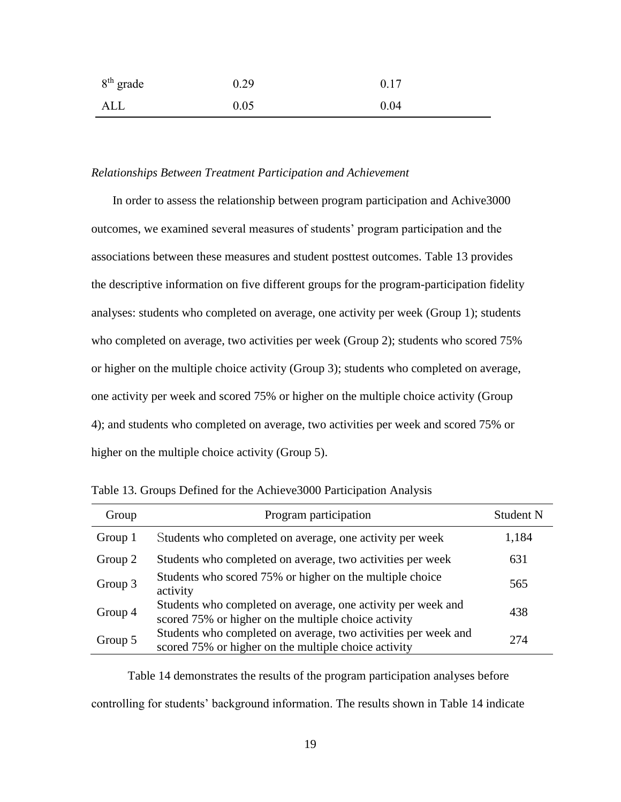| 8 <sup>th</sup> grade | 0.29 | 0.17 |
|-----------------------|------|------|
| ALL                   | 0.05 | 0.04 |

#### *Relationships Between Treatment Participation and Achievement*

In order to assess the relationship between program participation and Achive3000 outcomes, we examined several measures of students' program participation and the associations between these measures and student posttest outcomes. Table 13 provides the descriptive information on five different groups for the program-participation fidelity analyses: students who completed on average, one activity per week (Group 1); students who completed on average, two activities per week (Group 2); students who scored 75% or higher on the multiple choice activity (Group 3); students who completed on average, one activity per week and scored 75% or higher on the multiple choice activity (Group 4); and students who completed on average, two activities per week and scored 75% or higher on the multiple choice activity (Group 5).

| Group   | Program participation                                                                                                  | Student N |
|---------|------------------------------------------------------------------------------------------------------------------------|-----------|
| Group 1 | Students who completed on average, one activity per week                                                               | 1,184     |
| Group 2 | Students who completed on average, two activities per week                                                             | 631       |
| Group 3 | Students who scored 75% or higher on the multiple choice<br>activity                                                   | 565       |
| Group 4 | Students who completed on average, one activity per week and<br>scored 75% or higher on the multiple choice activity   | 438       |
| Group 5 | Students who completed on average, two activities per week and<br>scored 75% or higher on the multiple choice activity | 274       |

Table 13. Groups Defined for the Achieve3000 Participation Analysis

Table 14 demonstrates the results of the program participation analyses before controlling for students' background information. The results shown in Table 14 indicate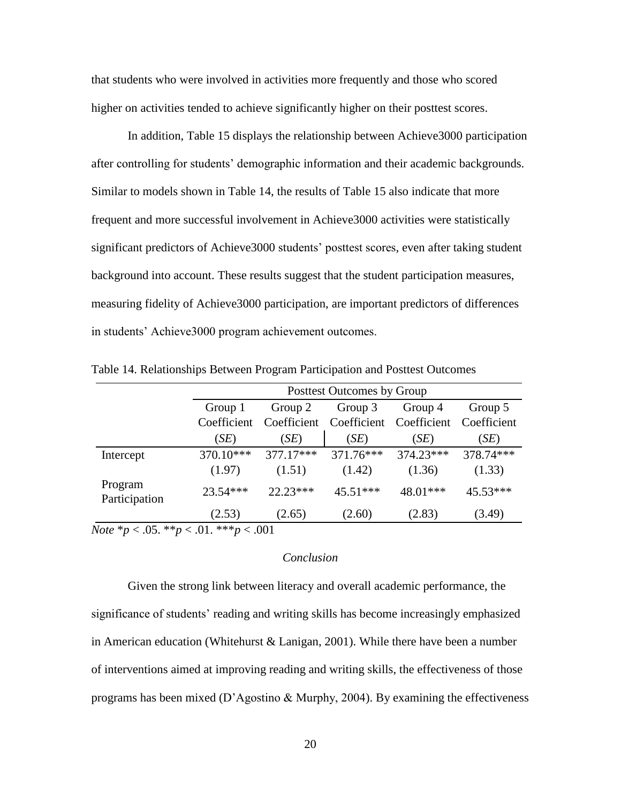that students who were involved in activities more frequently and those who scored higher on activities tended to achieve significantly higher on their posttest scores.

In addition, Table 15 displays the relationship between Achieve3000 participation after controlling for students' demographic information and their academic backgrounds. Similar to models shown in Table 14, the results of Table 15 also indicate that more frequent and more successful involvement in Achieve3000 activities were statistically significant predictors of Achieve3000 students' posttest scores, even after taking student background into account. These results suggest that the student participation measures, measuring fidelity of Achieve3000 participation, are important predictors of differences in students' Achieve3000 program achievement outcomes.

|                                                                   |             |                               | Posttest Outcomes by Group |             |             |  |
|-------------------------------------------------------------------|-------------|-------------------------------|----------------------------|-------------|-------------|--|
|                                                                   | Group 1     | Group 2<br>Group 3<br>Group 4 |                            |             |             |  |
|                                                                   | Coefficient | Coefficient                   | Coefficient                | Coefficient | Coefficient |  |
|                                                                   | (SE)        | (SE)                          | (SE)                       | (SE)        | (SE)        |  |
| Intercept                                                         | 370.10***   | $377.17***$                   | 371.76***                  | 374.23***   | 378.74***   |  |
|                                                                   | (1.97)      | (1.51)                        | (1.42)                     | (1.36)      | (1.33)      |  |
| Program<br>Participation                                          | $23.54***$  | $22.23***$                    | $45.51***$                 | $48.01***$  | 45.53***    |  |
|                                                                   | (2.53)      | (2.65)                        | (2.60)                     | (2.83)      | (3.49)      |  |
| $N_{\text{obs}}$ * $\approx$ 05 ** $\approx$ 01 *** $\approx$ 001 |             |                               |                            |             |             |  |

Table 14. Relationships Between Program Participation and Posttest Outcomes

*Note* \**p* < .05. \*\**p* < .01. \*\*\**p* < .001

### *Conclusion*

Given the strong link between literacy and overall academic performance, the significance of students' reading and writing skills has become increasingly emphasized in American education (Whitehurst & Lanigan, 2001). While there have been a number of interventions aimed at improving reading and writing skills, the effectiveness of those programs has been mixed (D'Agostino & Murphy, 2004). By examining the effectiveness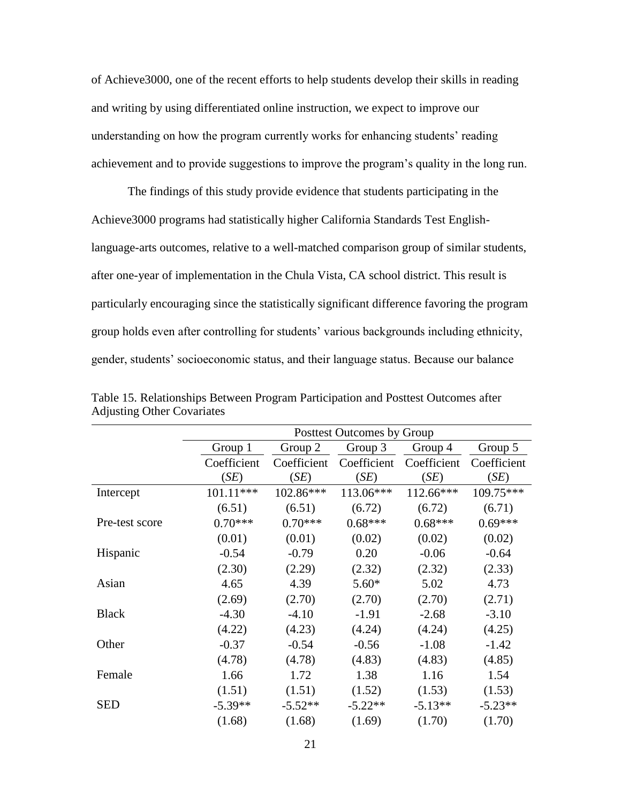of Achieve3000, one of the recent efforts to help students develop their skills in reading and writing by using differentiated online instruction, we expect to improve our understanding on how the program currently works for enhancing students' reading achievement and to provide suggestions to improve the program's quality in the long run.

The findings of this study provide evidence that students participating in the Achieve3000 programs had statistically higher California Standards Test Englishlanguage-arts outcomes, relative to a well-matched comparison group of similar students, after one-year of implementation in the Chula Vista, CA school district. This result is particularly encouraging since the statistically significant difference favoring the program group holds even after controlling for students' various backgrounds including ethnicity, gender, students' socioeconomic status, and their language status. Because our balance

|                | Posttest Outcomes by Group |             |             |             |             |  |
|----------------|----------------------------|-------------|-------------|-------------|-------------|--|
|                | Group 1                    | Group 2     | Group 3     | Group 4     | Group 5     |  |
|                | Coefficient                | Coefficient | Coefficient | Coefficient | Coefficient |  |
|                | (SE)                       | (SE)        | (SE)        | (SE)        | (SE)        |  |
| Intercept      | 101.11***                  | 102.86***   | 113.06***   | 112.66***   | 109.75***   |  |
|                | (6.51)                     | (6.51)      | (6.72)      | (6.72)      | (6.71)      |  |
| Pre-test score | $0.70***$                  | $0.70***$   | $0.68***$   | $0.68***$   | $0.69***$   |  |
|                | (0.01)                     | (0.01)      | (0.02)      | (0.02)      | (0.02)      |  |
| Hispanic       | $-0.54$                    | $-0.79$     | 0.20        | $-0.06$     | $-0.64$     |  |
|                | (2.30)                     | (2.29)      | (2.32)      | (2.32)      | (2.33)      |  |
| Asian          | 4.65                       | 4.39        | $5.60*$     | 5.02        | 4.73        |  |
|                | (2.69)                     | (2.70)      | (2.70)      | (2.70)      | (2.71)      |  |
| <b>Black</b>   | $-4.30$                    | $-4.10$     | $-1.91$     | $-2.68$     | $-3.10$     |  |
|                | (4.22)                     | (4.23)      | (4.24)      | (4.24)      | (4.25)      |  |
| Other          | $-0.37$                    | $-0.54$     | $-0.56$     | $-1.08$     | $-1.42$     |  |
|                | (4.78)                     | (4.78)      | (4.83)      | (4.83)      | (4.85)      |  |
| Female         | 1.66                       | 1.72        | 1.38        | 1.16        | 1.54        |  |
|                | (1.51)                     | (1.51)      | (1.52)      | (1.53)      | (1.53)      |  |
| <b>SED</b>     | $-5.39**$                  | $-5.52**$   | $-5.22**$   | $-5.13**$   | $-5.23**$   |  |
|                | (1.68)                     | (1.68)      | (1.69)      | (1.70)      | (1.70)      |  |

Table 15. Relationships Between Program Participation and Posttest Outcomes after Adjusting Other Covariates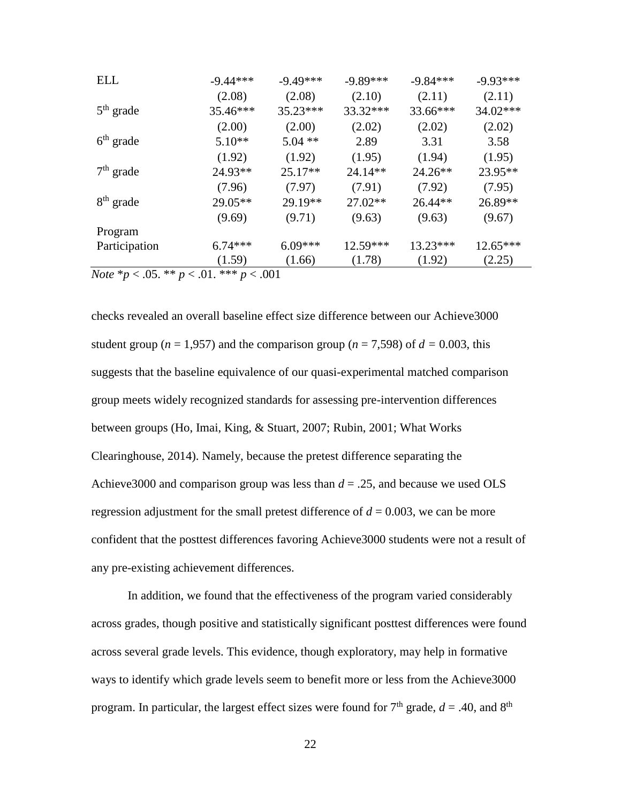| ELL                                                    | $-9.44***$ | $-9.49***$ | $-9.89***$ | $-9.84***$ | $-9.93***$ |
|--------------------------------------------------------|------------|------------|------------|------------|------------|
|                                                        | (2.08)     | (2.08)     | (2.10)     | (2.11)     | (2.11)     |
| $5th$ grade                                            | 35.46***   | $35.23***$ | 33.32***   | 33.66***   | 34.02***   |
|                                                        | (2.00)     | (2.00)     | (2.02)     | (2.02)     | (2.02)     |
| $6th$ grade                                            | $5.10**$   | $5.04$ **  | 2.89       | 3.31       | 3.58       |
|                                                        | (1.92)     | (1.92)     | (1.95)     | (1.94)     | (1.95)     |
| $7th$ grade                                            | 24.93**    | $25.17**$  | $24.14**$  | $24.26**$  | 23.95**    |
|                                                        | (7.96)     | (7.97)     | (7.91)     | (7.92)     | (7.95)     |
| $8th$ grade                                            | $29.05**$  | 29.19**    | $27.02**$  | $26.44**$  | 26.89**    |
|                                                        | (9.69)     | (9.71)     | (9.63)     | (9.63)     | (9.67)     |
| Program                                                |            |            |            |            |            |
| Participation                                          | $6.74***$  | $6.09***$  | 12.59***   | 13.23***   | 12.65***   |
|                                                        | (1.59)     | (1.66)     | (1.78)     | (1.92)     | (2.25)     |
| <i>Note</i> $* p < .05$ . $* p < .01$ . $* * p < .001$ |            |            |            |            |            |

checks revealed an overall baseline effect size difference between our Achieve3000

student group ( $n = 1,957$ ) and the comparison group ( $n = 7,598$ ) of  $d = 0.003$ , this suggests that the baseline equivalence of our quasi-experimental matched comparison group meets widely recognized standards for assessing pre-intervention differences between groups (Ho, Imai, King, & Stuart, 2007; Rubin, 2001; What Works Clearinghouse, 2014). Namely, because the pretest difference separating the Achieve3000 and comparison group was less than *d* = .25, and because we used OLS regression adjustment for the small pretest difference of  $d = 0.003$ , we can be more confident that the posttest differences favoring Achieve3000 students were not a result of any pre-existing achievement differences.

In addition, we found that the effectiveness of the program varied considerably across grades, though positive and statistically significant posttest differences were found across several grade levels. This evidence, though exploratory, may help in formative ways to identify which grade levels seem to benefit more or less from the Achieve3000 program. In particular, the largest effect sizes were found for  $7<sup>th</sup>$  grade,  $d = .40$ , and  $8<sup>th</sup>$ 

22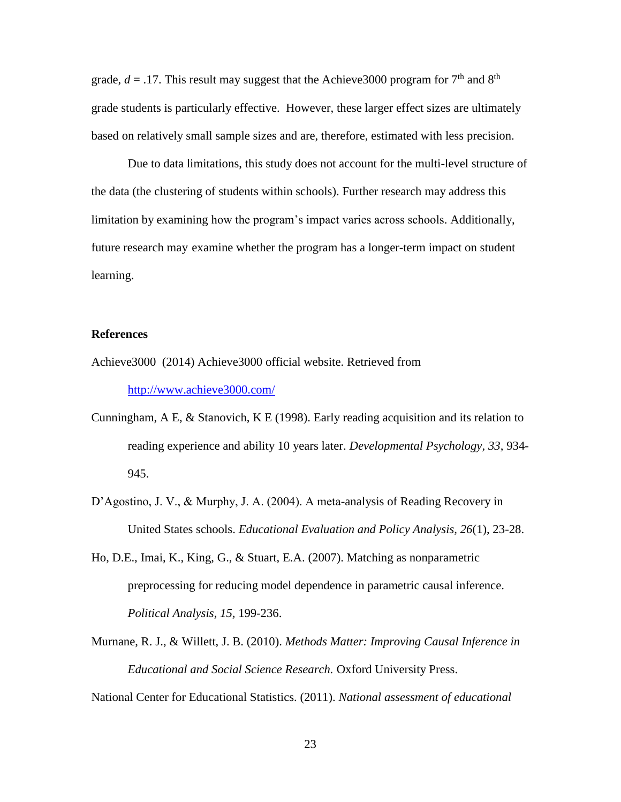grade,  $d = 0.17$ . This result may suggest that the Achieve 3000 program for 7<sup>th</sup> and 8<sup>th</sup> grade students is particularly effective. However, these larger effect sizes are ultimately based on relatively small sample sizes and are, therefore, estimated with less precision.

Due to data limitations, this study does not account for the multi-level structure of the data (the clustering of students within schools). Further research may address this limitation by examining how the program's impact varies across schools. Additionally, future research may examine whether the program has a longer-term impact on student learning.

### **References**

- Achieve3000 (2014) Achieve3000 official website. Retrieved from <http://www.achieve3000.com/>
- Cunningham, A E, & Stanovich, K E (1998). Early reading acquisition and its relation to reading experience and ability 10 years later. *Developmental Psychology, 33*, 934- 945.
- D'Agostino, J. V., & Murphy, J. A. (2004). A meta-analysis of Reading Recovery in United States schools. *Educational Evaluation and Policy Analysis, 26*(1), 23-28.
- Ho, D.E., Imai, K., King, G., & Stuart, E.A. (2007). Matching as nonparametric preprocessing for reducing model dependence in parametric causal inference. *Political Analysis, 15,* 199-236.
- Murnane, R. J., & Willett, J. B. (2010). *Methods Matter: Improving Causal Inference in Educational and Social Science Research.* Oxford University Press.

National Center for Educational Statistics. (2011). *National assessment of educational*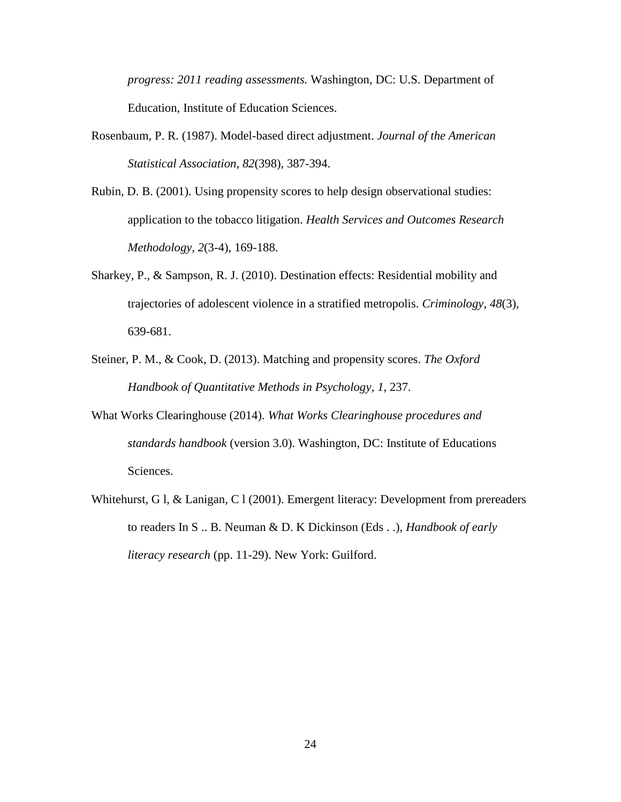*progress: 2011 reading assessments.* Washington, DC: U.S. Department of Education, Institute of Education Sciences.

- Rosenbaum, P. R. (1987). Model-based direct adjustment. *Journal of the American Statistical Association*, *82*(398), 387-394.
- Rubin, D. B. (2001). Using propensity scores to help design observational studies: application to the tobacco litigation. *Health Services and Outcomes Research Methodology*, *2*(3-4), 169-188.
- Sharkey, P., & Sampson, R. J. (2010). Destination effects: Residential mobility and trajectories of adolescent violence in a stratified metropolis. *Criminology*, *48*(3), 639-681.
- Steiner, P. M., & Cook, D. (2013). Matching and propensity scores. *The Oxford Handbook of Quantitative Methods in Psychology*, *1*, 237.
- What Works Clearinghouse (2014). *What Works Clearinghouse procedures and standards handbook* (version 3.0). Washington, DC: Institute of Educations Sciences.
- Whitehurst, G l, & Lanigan, C l (2001). Emergent literacy: Development from prereaders to readers In S .. B. Neuman & D. K Dickinson (Eds . .), *Handbook of early literacy research* (pp. 11-29). New York: Guilford.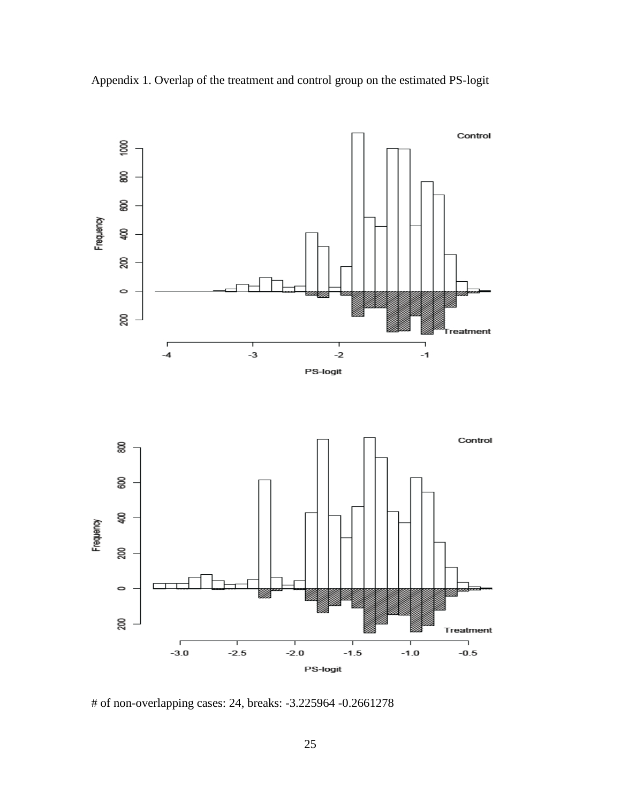

Appendix 1. Overlap of the treatment and control group on the estimated PS-logit

# of non-overlapping cases: 24, breaks: -3.225964 -0.2661278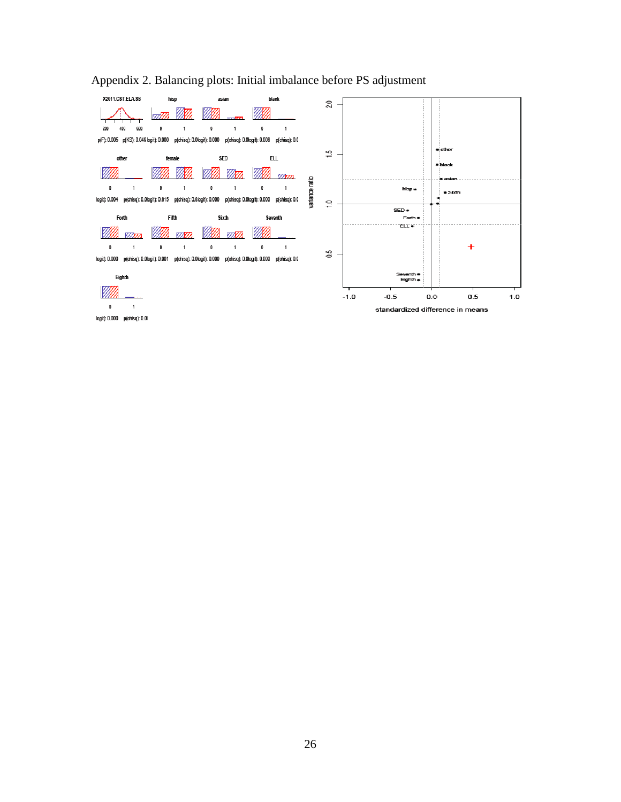

# Appendix 2. Balancing plots: Initial imbalance before PS adjustment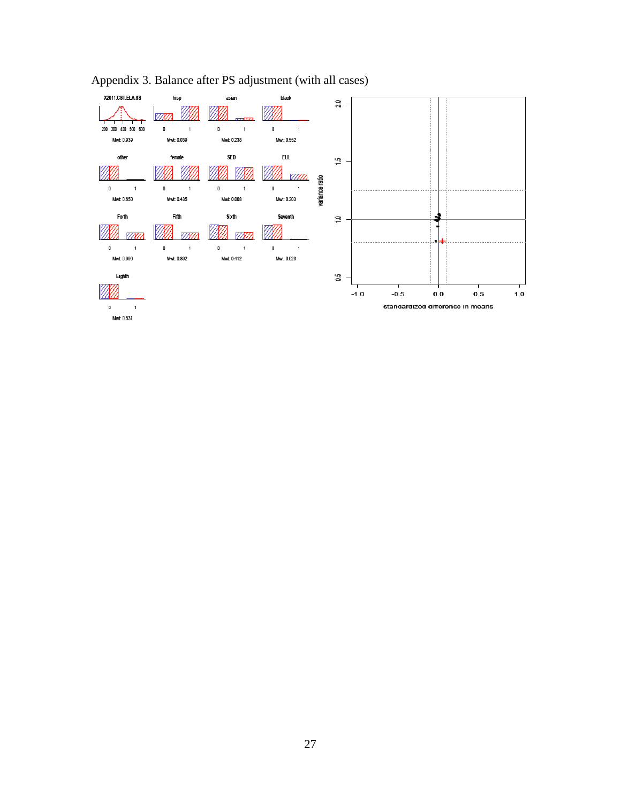

# Appendix 3. Balance after PS adjustment (with all cases)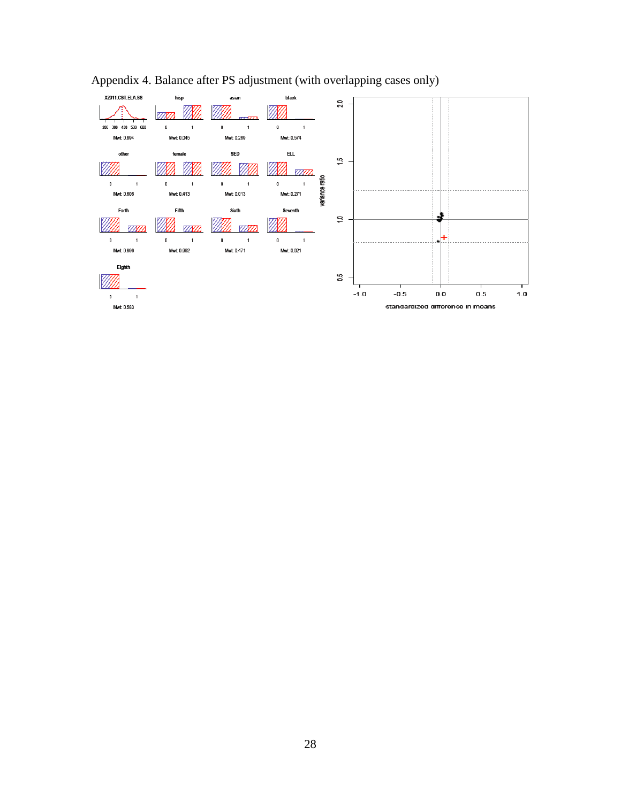

# Appendix 4. Balance after PS adjustment (with overlapping cases only)